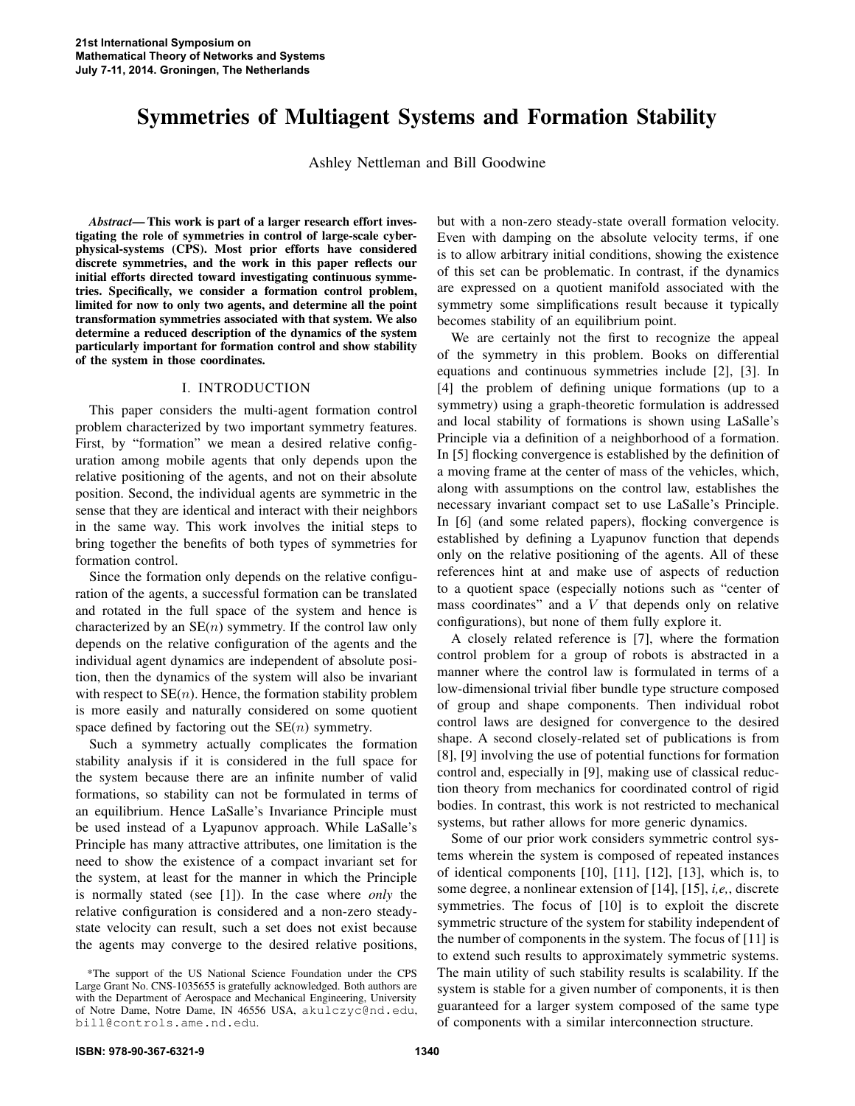# Symmetries of Multiagent Systems and Formation Stability

Ashley Nettleman and Bill Goodwine

*Abstract*— This work is part of a larger research effort investigating the role of symmetries in control of large-scale cyberphysical-systems (CPS). Most prior efforts have considered discrete symmetries, and the work in this paper reflects our initial efforts directed toward investigating continuous symmetries. Specifically, we consider a formation control problem, limited for now to only two agents, and determine all the point transformation symmetries associated with that system. We also determine a reduced description of the dynamics of the system particularly important for formation control and show stability of the system in those coordinates.

# I. INTRODUCTION

This paper considers the multi-agent formation control problem characterized by two important symmetry features. First, by "formation" we mean a desired relative configuration among mobile agents that only depends upon the relative positioning of the agents, and not on their absolute position. Second, the individual agents are symmetric in the sense that they are identical and interact with their neighbors in the same way. This work involves the initial steps to bring together the benefits of both types of symmetries for formation control.

Since the formation only depends on the relative configuration of the agents, a successful formation can be translated and rotated in the full space of the system and hence is characterized by an  $SE(n)$  symmetry. If the control law only depends on the relative configuration of the agents and the individual agent dynamics are independent of absolute position, then the dynamics of the system will also be invariant with respect to  $SE(n)$ . Hence, the formation stability problem is more easily and naturally considered on some quotient space defined by factoring out the  $SE(n)$  symmetry.

Such a symmetry actually complicates the formation stability analysis if it is considered in the full space for the system because there are an infinite number of valid formations, so stability can not be formulated in terms of an equilibrium. Hence LaSalle's Invariance Principle must be used instead of a Lyapunov approach. While LaSalle's Principle has many attractive attributes, one limitation is the need to show the existence of a compact invariant set for the system, at least for the manner in which the Principle is normally stated (see [1]). In the case where *only* the relative configuration is considered and a non-zero steadystate velocity can result, such a set does not exist because the agents may converge to the desired relative positions,

but with a non-zero steady-state overall formation velocity. Even with damping on the absolute velocity terms, if one is to allow arbitrary initial conditions, showing the existence of this set can be problematic. In contrast, if the dynamics are expressed on a quotient manifold associated with the symmetry some simplifications result because it typically becomes stability of an equilibrium point.

We are certainly not the first to recognize the appeal of the symmetry in this problem. Books on differential equations and continuous symmetries include [2], [3]. In [4] the problem of defining unique formations (up to a symmetry) using a graph-theoretic formulation is addressed and local stability of formations is shown using LaSalle's Principle via a definition of a neighborhood of a formation. In [5] flocking convergence is established by the definition of a moving frame at the center of mass of the vehicles, which, along with assumptions on the control law, establishes the necessary invariant compact set to use LaSalle's Principle. In [6] (and some related papers), flocking convergence is established by defining a Lyapunov function that depends only on the relative positioning of the agents. All of these references hint at and make use of aspects of reduction to a quotient space (especially notions such as "center of mass coordinates" and a  $V$  that depends only on relative configurations), but none of them fully explore it.

A closely related reference is [7], where the formation control problem for a group of robots is abstracted in a manner where the control law is formulated in terms of a low-dimensional trivial fiber bundle type structure composed of group and shape components. Then individual robot control laws are designed for convergence to the desired shape. A second closely-related set of publications is from [8], [9] involving the use of potential functions for formation control and, especially in [9], making use of classical reduction theory from mechanics for coordinated control of rigid bodies. In contrast, this work is not restricted to mechanical systems, but rather allows for more generic dynamics.

Some of our prior work considers symmetric control systems wherein the system is composed of repeated instances of identical components [10], [11], [12], [13], which is, to some degree, a nonlinear extension of [14], [15], *i,e,*, discrete symmetries. The focus of [10] is to exploit the discrete symmetric structure of the system for stability independent of the number of components in the system. The focus of [11] is to extend such results to approximately symmetric systems. The main utility of such stability results is scalability. If the system is stable for a given number of components, it is then guaranteed for a larger system composed of the same type of components with a similar interconnection structure.

<sup>\*</sup>The support of the US National Science Foundation under the CPS Large Grant No. CNS-1035655 is gratefully acknowledged. Both authors are with the Department of Aerospace and Mechanical Engineering, University of Notre Dame, Notre Dame, IN 46556 USA, akulczyc@nd.edu, bill@controls.ame.nd.edu.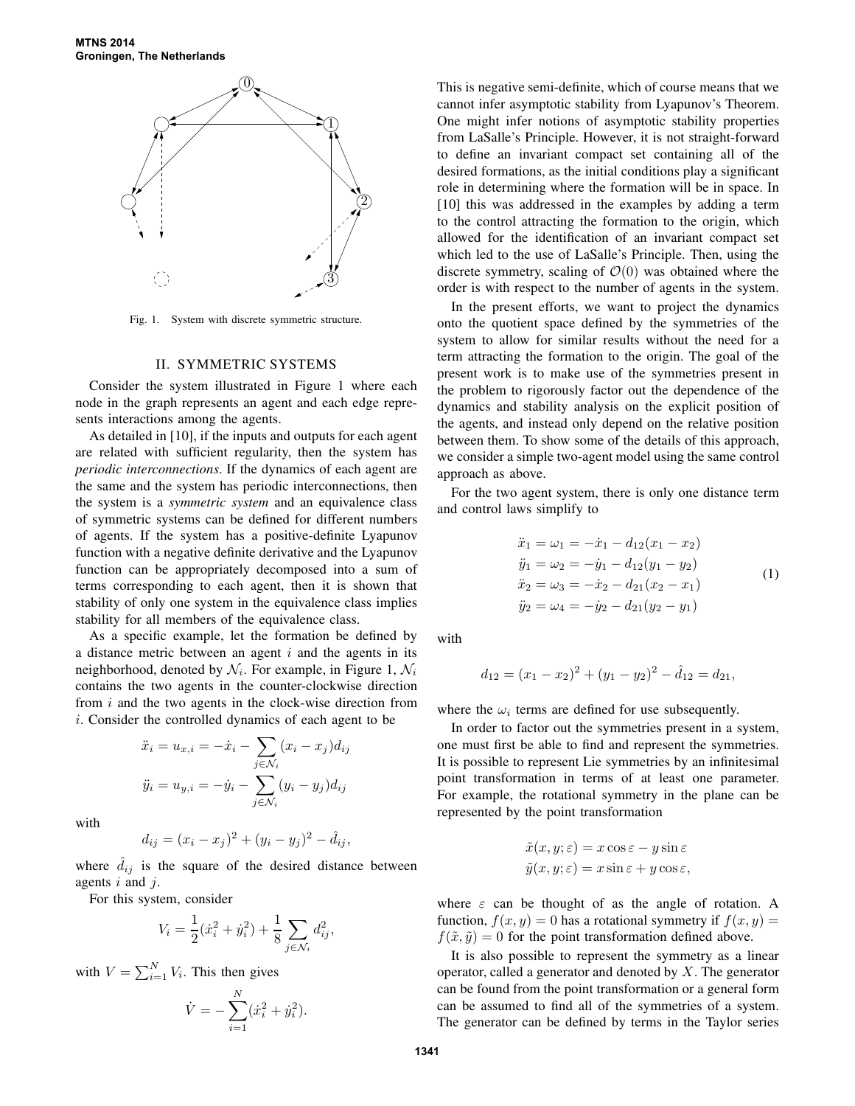

Fig. 1. System with discrete symmetric structure.

### II. SYMMETRIC SYSTEMS

Consider the system illustrated in Figure 1 where each node in the graph represents an agent and each edge represents interactions among the agents.

As detailed in [10], if the inputs and outputs for each agent are related with sufficient regularity, then the system has *periodic interconnections*. If the dynamics of each agent are the same and the system has periodic interconnections, then the system is a *symmetric system* and an equivalence class of symmetric systems can be defined for different numbers of agents. If the system has a positive-definite Lyapunov function with a negative definite derivative and the Lyapunov function can be appropriately decomposed into a sum of terms corresponding to each agent, then it is shown that stability of only one system in the equivalence class implies stability for all members of the equivalence class.

As a specific example, let the formation be defined by a distance metric between an agent  $i$  and the agents in its neighborhood, denoted by  $\mathcal{N}_i$ . For example, in Figure 1,  $\mathcal{N}_i$ contains the two agents in the counter-clockwise direction from  $i$  and the two agents in the clock-wise direction from i. Consider the controlled dynamics of each agent to be

$$
\ddot{x}_i = u_{x,i} = -\dot{x}_i - \sum_{j \in \mathcal{N}_i} (x_i - x_j) d_{ij}
$$

$$
\ddot{y}_i = u_{y,i} = -\dot{y}_i - \sum_{j \in \mathcal{N}_i} (y_i - y_j) d_{ij}
$$

with

$$
d_{ij} = (x_i - x_j)^2 + (y_i - y_j)^2 - \hat{d}_{ij},
$$

where  $\ddot{d}_{ij}$  is the square of the desired distance between agents  $i$  and  $j$ .

For this system, consider

$$
V_i = \frac{1}{2}(\dot{x}_i^2 + \dot{y}_i^2) + \frac{1}{8} \sum_{j \in \mathcal{N}_i} d_{ij}^2,
$$

with  $V = \sum_{i=1}^{N} V_i$ . This then gives

$$
\dot{V} = -\sum_{i=1}^{N} (\dot{x}_i^2 + \dot{y}_i^2).
$$

This is negative semi-definite, which of course means that we cannot infer asymptotic stability from Lyapunov's Theorem. One might infer notions of asymptotic stability properties from LaSalle's Principle. However, it is not straight-forward to define an invariant compact set containing all of the desired formations, as the initial conditions play a significant role in determining where the formation will be in space. In [10] this was addressed in the examples by adding a term to the control attracting the formation to the origin, which allowed for the identification of an invariant compact set which led to the use of LaSalle's Principle. Then, using the discrete symmetry, scaling of  $\mathcal{O}(0)$  was obtained where the order is with respect to the number of agents in the system.

In the present efforts, we want to project the dynamics onto the quotient space defined by the symmetries of the system to allow for similar results without the need for a term attracting the formation to the origin. The goal of the present work is to make use of the symmetries present in the problem to rigorously factor out the dependence of the dynamics and stability analysis on the explicit position of the agents, and instead only depend on the relative position between them. To show some of the details of this approach, we consider a simple two-agent model using the same control approach as above.

For the two agent system, there is only one distance term and control laws simplify to

$$
\ddot{x}_1 = \omega_1 = -\dot{x}_1 - d_{12}(x_1 - x_2)
$$
  
\n
$$
\ddot{y}_1 = \omega_2 = -\dot{y}_1 - d_{12}(y_1 - y_2)
$$
  
\n
$$
\ddot{x}_2 = \omega_3 = -\dot{x}_2 - d_{21}(x_2 - x_1)
$$
  
\n
$$
\ddot{y}_2 = \omega_4 = -\dot{y}_2 - d_{21}(y_2 - y_1)
$$
\n(1)

with

$$
d_{12} = (x_1 - x_2)^2 + (y_1 - y_2)^2 - \hat{d}_{12} = d_{21},
$$

where the  $\omega_i$  terms are defined for use subsequently.

In order to factor out the symmetries present in a system, one must first be able to find and represent the symmetries. It is possible to represent Lie symmetries by an infinitesimal point transformation in terms of at least one parameter. For example, the rotational symmetry in the plane can be represented by the point transformation

$$
\tilde{x}(x, y; \varepsilon) = x \cos \varepsilon - y \sin \varepsilon
$$
  

$$
\tilde{y}(x, y; \varepsilon) = x \sin \varepsilon + y \cos \varepsilon,
$$

where  $\varepsilon$  can be thought of as the angle of rotation. A function,  $f(x, y) = 0$  has a rotational symmetry if  $f(x, y) =$  $f(\tilde{x}, \tilde{y}) = 0$  for the point transformation defined above.

It is also possible to represent the symmetry as a linear operator, called a generator and denoted by  $X$ . The generator can be found from the point transformation or a general form can be assumed to find all of the symmetries of a system. The generator can be defined by terms in the Taylor series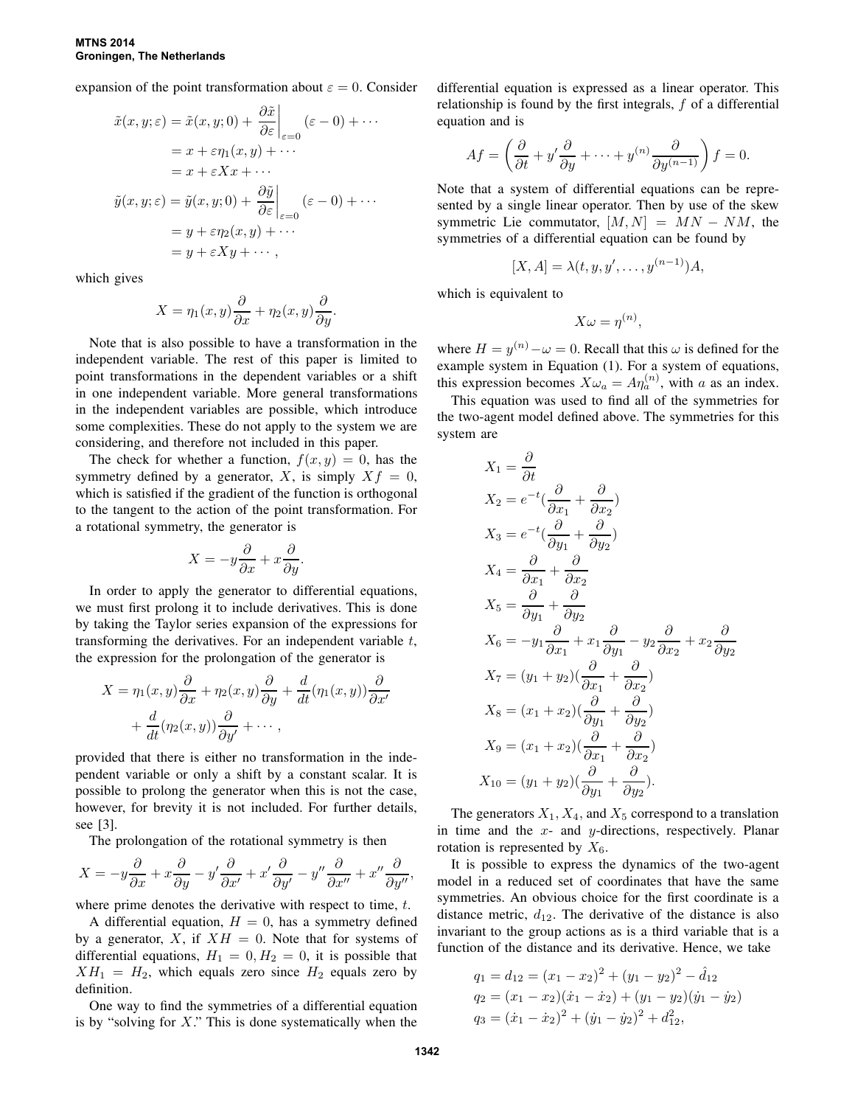expansion of the point transformation about  $\varepsilon = 0$ . Consider

$$
\tilde{x}(x, y; \varepsilon) = \tilde{x}(x, y; 0) + \left. \frac{\partial \tilde{x}}{\partial \varepsilon} \right|_{\varepsilon=0} (\varepsilon - 0) + \cdots
$$

$$
= x + \varepsilon \eta_1(x, y) + \cdots
$$

$$
= x + \varepsilon X x + \cdots
$$

$$
\tilde{y}(x, y; \varepsilon) = \tilde{y}(x, y; 0) + \left. \frac{\partial \tilde{y}}{\partial \varepsilon} \right|_{\varepsilon=0} (\varepsilon - 0) + \cdots
$$

$$
= y + \varepsilon \eta_2(x, y) + \cdots
$$

$$
= y + \varepsilon X y + \cdots,
$$

which gives

$$
X = \eta_1(x, y)\frac{\partial}{\partial x} + \eta_2(x, y)\frac{\partial}{\partial y}.
$$

Note that is also possible to have a transformation in the independent variable. The rest of this paper is limited to point transformations in the dependent variables or a shift in one independent variable. More general transformations in the independent variables are possible, which introduce some complexities. These do not apply to the system we are considering, and therefore not included in this paper.

The check for whether a function,  $f(x, y) = 0$ , has the symmetry defined by a generator, X, is simply  $Xf = 0$ , which is satisfied if the gradient of the function is orthogonal to the tangent to the action of the point transformation. For a rotational symmetry, the generator is

$$
X = -y\frac{\partial}{\partial x} + x\frac{\partial}{\partial y}.
$$

In order to apply the generator to differential equations, we must first prolong it to include derivatives. This is done by taking the Taylor series expansion of the expressions for transforming the derivatives. For an independent variable t, the expression for the prolongation of the generator is

$$
X = \eta_1(x, y) \frac{\partial}{\partial x} + \eta_2(x, y) \frac{\partial}{\partial y} + \frac{d}{dt} (\eta_1(x, y)) \frac{\partial}{\partial x'} + \frac{d}{dt} (\eta_2(x, y)) \frac{\partial}{\partial y'} + \cdots,
$$

provided that there is either no transformation in the independent variable or only a shift by a constant scalar. It is possible to prolong the generator when this is not the case, however, for brevity it is not included. For further details, see [3].

The prolongation of the rotational symmetry is then

$$
X = -y\frac{\partial}{\partial x} + x\frac{\partial}{\partial y} - y'\frac{\partial}{\partial x'} + x'\frac{\partial}{\partial y'} - y''\frac{\partial}{\partial x''} + x''\frac{\partial}{\partial y''},
$$

where prime denotes the derivative with respect to time, t.

A differential equation,  $H = 0$ , has a symmetry defined by a generator, X, if  $XH = 0$ . Note that for systems of differential equations,  $H_1 = 0, H_2 = 0$ , it is possible that  $XH_1 = H_2$ , which equals zero since  $H_2$  equals zero by definition.

One way to find the symmetries of a differential equation is by "solving for  $X$ ." This is done systematically when the differential equation is expressed as a linear operator. This relationship is found by the first integrals,  $f$  of a differential equation and is

$$
Af = \left(\frac{\partial}{\partial t} + y'\frac{\partial}{\partial y} + \dots + y^{(n)}\frac{\partial}{\partial y^{(n-1)}}\right)f = 0.
$$

Note that a system of differential equations can be represented by a single linear operator. Then by use of the skew symmetric Lie commutator,  $[M, N] = MN - NM$ , the symmetries of a differential equation can be found by

$$
[X,A] = \lambda(t,y,y',\ldots,y^{(n-1)})A,
$$

which is equivalent to

$$
X\omega = \eta^{(n)},
$$

where  $H = y^{(n)} - \omega = 0$ . Recall that this  $\omega$  is defined for the example system in Equation (1). For a system of equations, this expression becomes  $X\omega_a = A\eta_a^{(n)}$ , with a as an index.

This equation was used to find all of the symmetries for the two-agent model defined above. The symmetries for this system are

$$
X_1 = \frac{\partial}{\partial t}
$$
  
\n
$$
X_2 = e^{-t}(\frac{\partial}{\partial x_1} + \frac{\partial}{\partial x_2})
$$
  
\n
$$
X_3 = e^{-t}(\frac{\partial}{\partial y_1} + \frac{\partial}{\partial y_2})
$$
  
\n
$$
X_4 = \frac{\partial}{\partial x_1} + \frac{\partial}{\partial x_2}
$$
  
\n
$$
X_5 = \frac{\partial}{\partial y_1} + \frac{\partial}{\partial y_2}
$$
  
\n
$$
X_6 = -y_1\frac{\partial}{\partial x_1} + x_1\frac{\partial}{\partial y_1} - y_2\frac{\partial}{\partial x_2} + x_2\frac{\partial}{\partial y_2}
$$
  
\n
$$
X_7 = (y_1 + y_2)(\frac{\partial}{\partial x_1} + \frac{\partial}{\partial x_2})
$$
  
\n
$$
X_8 = (x_1 + x_2)(\frac{\partial}{\partial y_1} + \frac{\partial}{\partial y_2})
$$
  
\n
$$
X_9 = (x_1 + x_2)(\frac{\partial}{\partial x_1} + \frac{\partial}{\partial x_2})
$$
  
\n
$$
X_{10} = (y_1 + y_2)(\frac{\partial}{\partial y_1} + \frac{\partial}{\partial y_2}).
$$

The generators  $X_1, X_4$ , and  $X_5$  correspond to a translation in time and the  $x$ - and  $y$ -directions, respectively. Planar rotation is represented by  $X_6$ .

It is possible to express the dynamics of the two-agent model in a reduced set of coordinates that have the same symmetries. An obvious choice for the first coordinate is a distance metric,  $d_{12}$ . The derivative of the distance is also invariant to the group actions as is a third variable that is a function of the distance and its derivative. Hence, we take

$$
q_1 = d_{12} = (x_1 - x_2)^2 + (y_1 - y_2)^2 - \hat{d}_{12}
$$
  
\n
$$
q_2 = (x_1 - x_2)(\dot{x}_1 - \dot{x}_2) + (y_1 - y_2)(\dot{y}_1 - \dot{y}_2)
$$
  
\n
$$
q_3 = (\dot{x}_1 - \dot{x}_2)^2 + (\dot{y}_1 - \dot{y}_2)^2 + \hat{d}_{12}^2,
$$